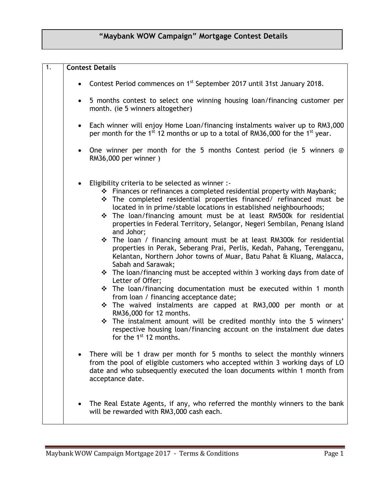# **"Maybank WOW Campaign" Mortgage Contest Details**

| $\overline{1}$ . | <b>Contest Details</b>                                                                                                                                                                                                                                                                                                                                                                                                                                                                                                                                                                                                                                                                                                                                                                                                                                                                                                                                                                                                                                                                                                                                                                     |
|------------------|--------------------------------------------------------------------------------------------------------------------------------------------------------------------------------------------------------------------------------------------------------------------------------------------------------------------------------------------------------------------------------------------------------------------------------------------------------------------------------------------------------------------------------------------------------------------------------------------------------------------------------------------------------------------------------------------------------------------------------------------------------------------------------------------------------------------------------------------------------------------------------------------------------------------------------------------------------------------------------------------------------------------------------------------------------------------------------------------------------------------------------------------------------------------------------------------|
|                  | • Contest Period commences on 1 <sup>st</sup> September 2017 until 31st January 2018.                                                                                                                                                                                                                                                                                                                                                                                                                                                                                                                                                                                                                                                                                                                                                                                                                                                                                                                                                                                                                                                                                                      |
|                  | 5 months contest to select one winning housing loan/financing customer per<br>month. (ie 5 winners altogether)                                                                                                                                                                                                                                                                                                                                                                                                                                                                                                                                                                                                                                                                                                                                                                                                                                                                                                                                                                                                                                                                             |
|                  | Each winner will enjoy Home Loan/financing instalments waiver up to RM3,000<br>$\bullet$<br>per month for the 1 <sup>st</sup> 12 months or up to a total of RM36,000 for the 1 <sup>st</sup> year.                                                                                                                                                                                                                                                                                                                                                                                                                                                                                                                                                                                                                                                                                                                                                                                                                                                                                                                                                                                         |
|                  | One winner per month for the 5 months Contest period (ie 5 winners $@$<br>RM36,000 per winner)                                                                                                                                                                                                                                                                                                                                                                                                                                                                                                                                                                                                                                                                                                                                                                                                                                                                                                                                                                                                                                                                                             |
|                  | Eligibility criteria to be selected as winner :-<br>* Finances or refinances a completed residential property with Maybank;<br>* The completed residential properties financed/ refinanced must be<br>located in in prime/stable locations in established neighbourhoods;<br>* The loan/financing amount must be at least RM500k for residential<br>properties in Federal Territory, Selangor, Negeri Sembilan, Penang Island<br>and Johor;<br>$\div$ The loan / financing amount must be at least RM300k for residential<br>properties in Perak, Seberang Prai, Perlis, Kedah, Pahang, Terengganu,<br>Kelantan, Northern Johor towns of Muar, Batu Pahat & Kluang, Malacca,<br>Sabah and Sarawak;<br>* The loan/financing must be accepted within 3 working days from date of<br>Letter of Offer;<br>* The loan/financing documentation must be executed within 1 month<br>from loan / financing acceptance date;<br>The waived instalments are capped at RM3,000 per month or at<br>RM36,000 for 12 months.<br>* The instalment amount will be credited monthly into the 5 winners'<br>respective housing loan/financing account on the instalment due dates<br>for the $1st 12$ months. |
|                  | There will be 1 draw per month for 5 months to select the monthly winners<br>from the pool of eligible customers who accepted within 3 working days of LO<br>date and who subsequently executed the loan documents within 1 month from<br>acceptance date.                                                                                                                                                                                                                                                                                                                                                                                                                                                                                                                                                                                                                                                                                                                                                                                                                                                                                                                                 |
|                  | The Real Estate Agents, if any, who referred the monthly winners to the bank<br>will be rewarded with RM3,000 cash each.                                                                                                                                                                                                                                                                                                                                                                                                                                                                                                                                                                                                                                                                                                                                                                                                                                                                                                                                                                                                                                                                   |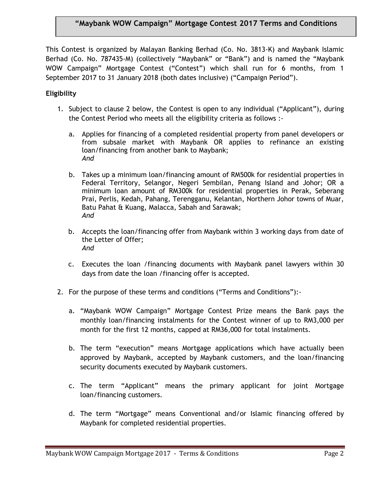## **"Maybank WOW Campaign" Mortgage Contest 2017 Terms and Conditions**

This Contest is organized by Malayan Banking Berhad (Co. No. 3813-K) and Maybank Islamic Berhad (Co. No. 787435-M) (collectively "Maybank" or "Bank") and is named the "Maybank WOW Campaign" Mortgage Contest ("Contest") which shall run for 6 months, from 1 September 2017 to 31 January 2018 (both dates inclusive) ("Campaign Period").

### **Eligibility**

- 1. Subject to clause 2 below, the Contest is open to any individual ("Applicant"), during the Contest Period who meets all the eligibility criteria as follows :
	- a. Applies for financing of a completed residential property from panel developers or from subsale market with Maybank OR applies to refinance an existing loan/financing from another bank to Maybank; *And*
	- b. Takes up a minimum loan/financing amount of RM500k for residential properties in Federal Territory, Selangor, Negeri Sembilan, Penang Island and Johor; OR a minimum loan amount of RM300k for residential properties in Perak, Seberang Prai, Perlis, Kedah, Pahang, Terengganu, Kelantan, Northern Johor towns of Muar, Batu Pahat & Kuang, Malacca, Sabah and Sarawak; *And*
	- b. Accepts the loan/financing offer from Maybank within 3 working days from date of the Letter of Offer; *And*
	- c. Executes the loan /financing documents with Maybank panel lawyers within 30 days from date the loan /financing offer is accepted.
- 2. For the purpose of these terms and conditions ("Terms and Conditions"):
	- a. "Maybank WOW Campaign" Mortgage Contest Prize means the Bank pays the monthly loan/financing instalments for the Contest winner of up to RM3,000 per month for the first 12 months, capped at RM36,000 for total instalments.
	- b. The term "execution" means Mortgage applications which have actually been approved by Maybank, accepted by Maybank customers, and the loan/financing security documents executed by Maybank customers.
	- c. The term "Applicant" means the primary applicant for joint Mortgage loan/financing customers.
	- d. The term "Mortgage" means Conventional and/or Islamic financing offered by Maybank for completed residential properties.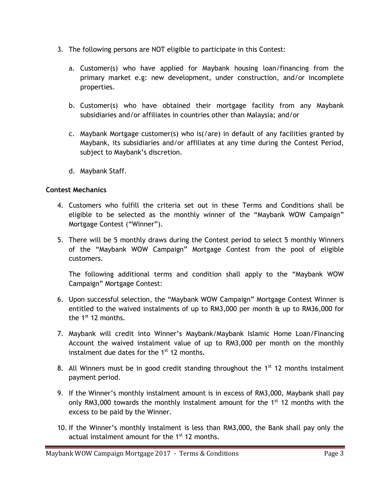- 3. The following persons are NOT eligible to participate in this Contest:
	- a. Customer(s) who have applied for Maybank housing loan/financing from the primary market e.g: new development, under construction, and/or incomplete properties.
	- b. Customer(s) who have obtained their mortgage facility from any Maybank subsidiaries and/or affiliates in countries other than Malaysia; and/or
	- c. Maybank Mortgage customer(s) who is(/are) in default of any facilities granted by Maybank, its subsidiaries and/or affiliates at any time during the Contest Period, subject to Maybank's discretion.
	- d. Maybank Staff.

### **Contest Mechanics**

- 4. Customers who fulfill the criteria set out in these Terms and Conditions shall be eligible to be selected as the monthly winner of the "Maybank WOW Campaign" Mortgage Contest ("Winner").
- 5. There will be 5 monthly draws during the Contest period to select 5 monthly Winners of the "Maybank WOW Campaign" Mortgage Contest from the pool of eligible customers.

The following additional terms and condition shall apply to the "Maybank WOW Campaign" Mortgage Contest:

- 6. Upon successful selection, the "Maybank WOW Campaign" Mortgage Contest Winner is entitled to the waived instalments of up to RM3,000 per month & up to RM36,000 for the  $1^{st}$  12 months.
- 7. Maybank will credit into Winner's Maybank/Maybank Islamic Home Loan/Financing Account the waived instalment value of up to RM3,000 per month on the monthly instalment due dates for the  $1<sup>st</sup>$  12 months.
- 8. All Winners must be in good credit standing throughout the  $1<sup>st</sup> 12$  months instalment payment period.
- 9. If the Winner's monthly instalment amount is in excess of RM3,000, Maybank shall pay only RM3,000 towards the monthly instalment amount for the  $1<sup>st</sup> 12$  months with the excess to be paid by the Winner.
- 10. If the Winner's monthly instalment is less than RM3,000, the Bank shall pay only the actual instalment amount for the  $1<sup>st</sup> 12$  months.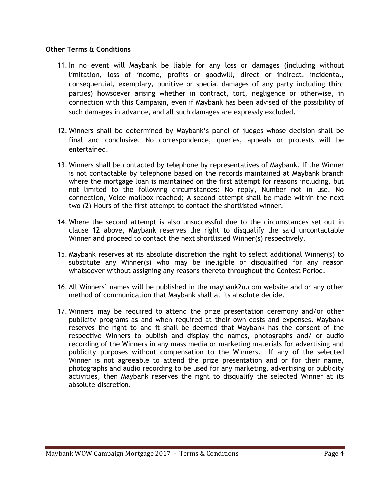#### **Other Terms & Conditions**

- 11. In no event will Maybank be liable for any loss or damages (including without limitation, loss of income, profits or goodwill, direct or indirect, incidental, consequential, exemplary, punitive or special damages of any party including third parties) howsoever arising whether in contract, tort, negligence or otherwise, in connection with this Campaign, even if Maybank has been advised of the possibility of such damages in advance, and all such damages are expressly excluded.
- 12. Winners shall be determined by Maybank's panel of judges whose decision shall be final and conclusive. No correspondence, queries, appeals or protests will be entertained.
- 13. Winners shall be contacted by telephone by representatives of Maybank. If the Winner is not contactable by telephone based on the records maintained at Maybank branch where the mortgage loan is maintained on the first attempt for reasons including, but not limited to the following circumstances: No reply, Number not in use, No connection, Voice mailbox reached; A second attempt shall be made within the next two (2) Hours of the first attempt to contact the shortlisted winner.
- 14. Where the second attempt is also unsuccessful due to the circumstances set out in clause 12 above, Maybank reserves the right to disqualify the said uncontactable Winner and proceed to contact the next shortlisted Winner(s) respectively.
- 15. Maybank reserves at its absolute discretion the right to select additional Winner(s) to substitute any Winner(s) who may be ineligible or disqualified for any reason whatsoever without assigning any reasons thereto throughout the Contest Period.
- 16. All Winners' names will be published in the maybank2u.com website and or any other method of communication that Maybank shall at its absolute decide.
- 17. Winners may be required to attend the prize presentation ceremony and/or other publicity programs as and when required at their own costs and expenses. Maybank reserves the right to and it shall be deemed that Maybank has the consent of the respective Winners to publish and display the names, photographs and/ or audio recording of the Winners in any mass media or marketing materials for advertising and publicity purposes without compensation to the Winners. If any of the selected Winner is not agreeable to attend the prize presentation and or for their name, photographs and audio recording to be used for any marketing, advertising or publicity activities, then Maybank reserves the right to disqualify the selected Winner at its absolute discretion.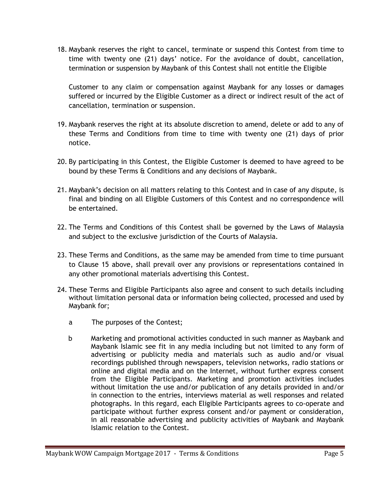18. Maybank reserves the right to cancel, terminate or suspend this Contest from time to time with twenty one (21) days' notice. For the avoidance of doubt, cancellation, termination or suspension by Maybank of this Contest shall not entitle the Eligible

Customer to any claim or compensation against Maybank for any losses or damages suffered or incurred by the Eligible Customer as a direct or indirect result of the act of cancellation, termination or suspension.

- 19. Maybank reserves the right at its absolute discretion to amend, delete or add to any of these Terms and Conditions from time to time with twenty one (21) days of prior notice.
- 20. By participating in this Contest, the Eligible Customer is deemed to have agreed to be bound by these Terms & Conditions and any decisions of Maybank.
- 21. Maybank's decision on all matters relating to this Contest and in case of any dispute, is final and binding on all Eligible Customers of this Contest and no correspondence will be entertained.
- 22. The Terms and Conditions of this Contest shall be governed by the Laws of Malaysia and subject to the exclusive jurisdiction of the Courts of Malaysia.
- 23. These Terms and Conditions, as the same may be amended from time to time pursuant to Clause 15 above, shall prevail over any provisions or representations contained in any other promotional materials advertising this Contest.
- 24. These Terms and Eligible Participants also agree and consent to such details including without limitation personal data or information being collected, processed and used by Maybank for;
	- a The purposes of the Contest;
	- b Marketing and promotional activities conducted in such manner as Maybank and Maybank Islamic see fit in any media including but not limited to any form of advertising or publicity media and materials such as audio and/or visual recordings published through newspapers, television networks, radio stations or online and digital media and on the Internet, without further express consent from the Eligible Participants. Marketing and promotion activities includes without limitation the use and/or publication of any details provided in and/or in connection to the entries, interviews material as well responses and related photographs. In this regard, each Eligible Participants agrees to co-operate and participate without further express consent and/or payment or consideration, in all reasonable advertising and publicity activities of Maybank and Maybank Islamic relation to the Contest.